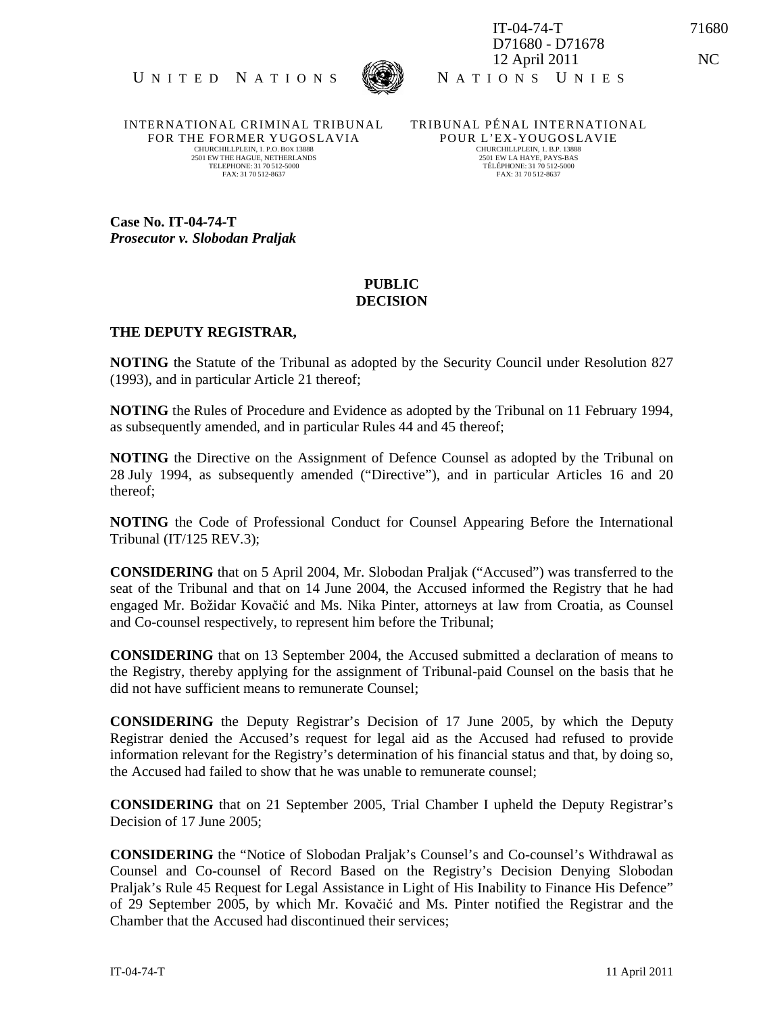



IT-04-74-T 71680 D71680 - D71678 12 April 2011 NC

INTERNATIONAL CRIMINAL TRIBUNAL FOR THE FORMER YUGOSLAVIA CHURCHILLPLEIN, 1. P.O. BOX 13888 2501 EW THE HAGUE, NETHERLANDS TELEPHONE: 31 70 512-5000 FAX: 31 70 512-8637

TRIBUNAL PÉNAL INTERNATIONAL POUR L'EX-YOUGOSLAVIE CHURCHILLPLEIN, 1. B.P. 13888 2501 EW LA HAYE, PAYS-BAS TÉLÉPHONE: 31 70 512-5000 FAX: 31 70 512-8637

**Case No. IT-04-74-T**  *Prosecutor v. Slobodan Praljak* 

## **PUBLIC DECISION**

## **THE DEPUTY REGISTRAR,**

**NOTING** the Statute of the Tribunal as adopted by the Security Council under Resolution 827 (1993), and in particular Article 21 thereof;

**NOTING** the Rules of Procedure and Evidence as adopted by the Tribunal on 11 February 1994, as subsequently amended, and in particular Rules 44 and 45 thereof;

**NOTING** the Directive on the Assignment of Defence Counsel as adopted by the Tribunal on 28 July 1994, as subsequently amended ("Directive"), and in particular Articles 16 and 20 thereof;

**NOTING** the Code of Professional Conduct for Counsel Appearing Before the International Tribunal (IT/125 REV.3);

**CONSIDERING** that on 5 April 2004, Mr. Slobodan Praljak ("Accused") was transferred to the seat of the Tribunal and that on 14 June 2004, the Accused informed the Registry that he had engaged Mr. Božidar Kovačić and Ms. Nika Pinter, attorneys at law from Croatia, as Counsel and Co-counsel respectively, to represent him before the Tribunal;

**CONSIDERING** that on 13 September 2004, the Accused submitted a declaration of means to the Registry, thereby applying for the assignment of Tribunal-paid Counsel on the basis that he did not have sufficient means to remunerate Counsel;

**CONSIDERING** the Deputy Registrar's Decision of 17 June 2005, by which the Deputy Registrar denied the Accused's request for legal aid as the Accused had refused to provide information relevant for the Registry's determination of his financial status and that, by doing so, the Accused had failed to show that he was unable to remunerate counsel;

**CONSIDERING** that on 21 September 2005, Trial Chamber I upheld the Deputy Registrar's Decision of 17 June 2005;

**CONSIDERING** the "Notice of Slobodan Praljak's Counsel's and Co-counsel's Withdrawal as Counsel and Co-counsel of Record Based on the Registry's Decision Denying Slobodan Praljak's Rule 45 Request for Legal Assistance in Light of His Inability to Finance His Defence" of 29 September 2005, by which Mr. Kovačić and Ms. Pinter notified the Registrar and the Chamber that the Accused had discontinued their services;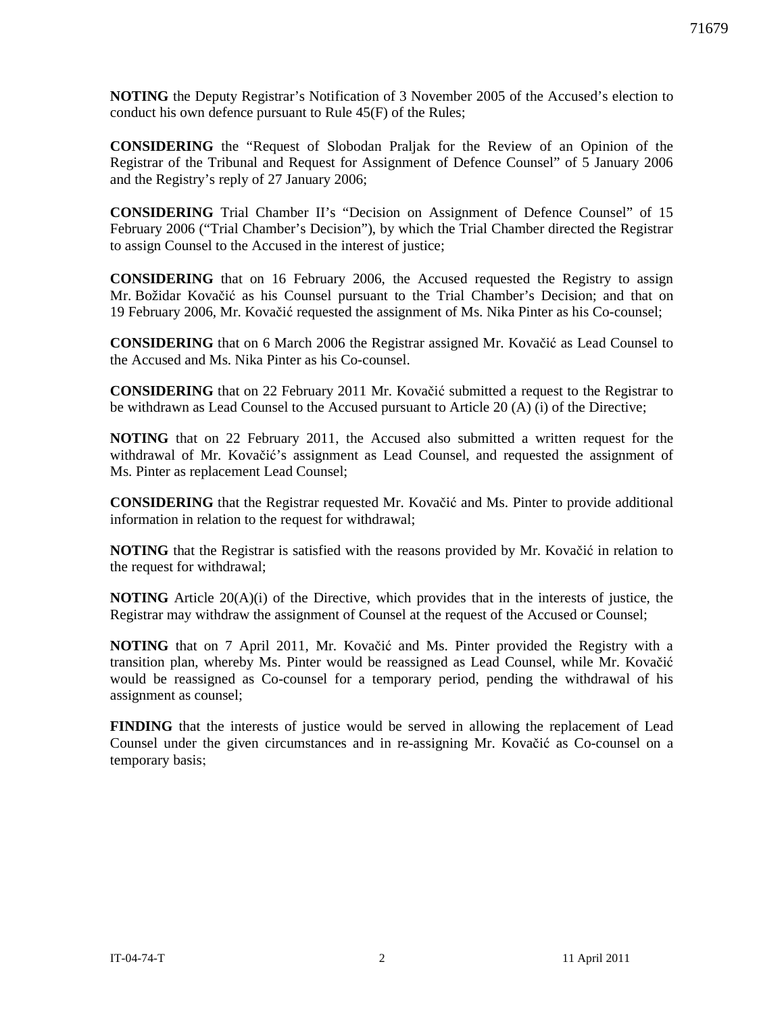**NOTING** the Deputy Registrar's Notification of 3 November 2005 of the Accused's election to conduct his own defence pursuant to Rule 45(F) of the Rules;

**CONSIDERING** the "Request of Slobodan Praljak for the Review of an Opinion of the Registrar of the Tribunal and Request for Assignment of Defence Counsel" of 5 January 2006 and the Registry's reply of 27 January 2006;

**CONSIDERING** Trial Chamber II's "Decision on Assignment of Defence Counsel" of 15 February 2006 ("Trial Chamber's Decision"), by which the Trial Chamber directed the Registrar to assign Counsel to the Accused in the interest of justice;

**CONSIDERING** that on 16 February 2006, the Accused requested the Registry to assign Mr. Božidar Kovačić as his Counsel pursuant to the Trial Chamber's Decision; and that on 19 February 2006, Mr. Kovačić requested the assignment of Ms. Nika Pinter as his Co-counsel;

**CONSIDERING** that on 6 March 2006 the Registrar assigned Mr. Kovačić as Lead Counsel to the Accused and Ms. Nika Pinter as his Co-counsel.

**CONSIDERING** that on 22 February 2011 Mr. Kovačić submitted a request to the Registrar to be withdrawn as Lead Counsel to the Accused pursuant to Article 20 (A) (i) of the Directive;

**NOTING** that on 22 February 2011, the Accused also submitted a written request for the withdrawal of Mr. Kovačić's assignment as Lead Counsel, and requested the assignment of Ms. Pinter as replacement Lead Counsel;

**CONSIDERING** that the Registrar requested Mr. Kovačić and Ms. Pinter to provide additional information in relation to the request for withdrawal;

**NOTING** that the Registrar is satisfied with the reasons provided by Mr. Kovačić in relation to the request for withdrawal;

**NOTING** Article 20(A)(i) of the Directive, which provides that in the interests of justice, the Registrar may withdraw the assignment of Counsel at the request of the Accused or Counsel;

**NOTING** that on 7 April 2011, Mr. Kovačić and Ms. Pinter provided the Registry with a transition plan, whereby Ms. Pinter would be reassigned as Lead Counsel, while Mr. Kovačić would be reassigned as Co-counsel for a temporary period, pending the withdrawal of his assignment as counsel;

**FINDING** that the interests of justice would be served in allowing the replacement of Lead Counsel under the given circumstances and in re-assigning Mr. Kovačić as Co-counsel on a temporary basis;